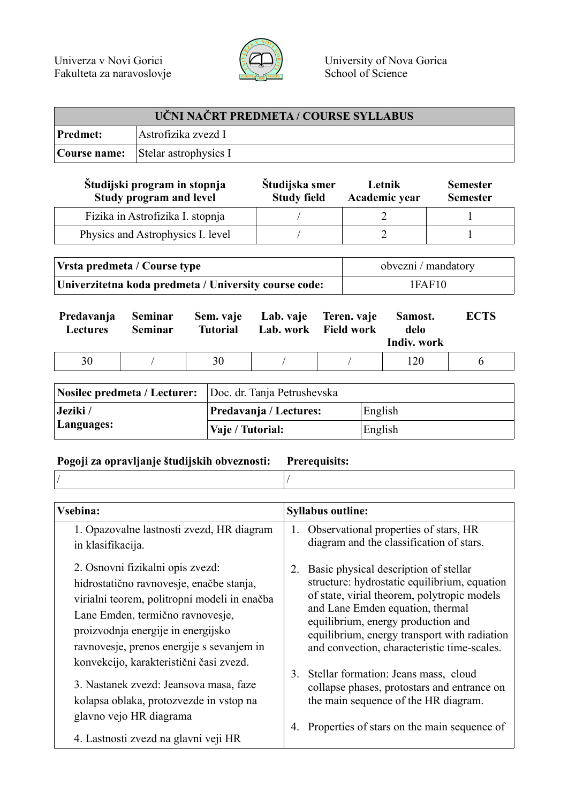

| UČNI NAČRT PREDMETA / COURSE SYLLABUS / |                                           |  |  |
|-----------------------------------------|-------------------------------------------|--|--|
| <b>Predmet:</b>                         | Astrofizika zvezd I                       |  |  |
|                                         | <b>Course name:</b> Stelar astrophysics I |  |  |

| Študijski program in stopnja<br><b>Study program and level</b> | Študijska smer<br><b>Study field</b> | Letnik<br>Academic year | <b>Semester</b><br><b>Semester</b> |
|----------------------------------------------------------------|--------------------------------------|-------------------------|------------------------------------|
| Fizika in Astrofizika I. stopnja                               |                                      |                         |                                    |
| Physics and Astrophysics I. level                              |                                      |                         |                                    |

| Vrsta predmeta / Course type                          | obvezni / mandatory |
|-------------------------------------------------------|---------------------|
| Univerzitetna koda predmeta / University course code: | 1FAF10              |

| Predavanja<br><b>Lectures</b> | Seminar<br><b>Seminar</b> | <b>Tutorial</b> | Sem. vaje Lab. vaje Teren. vaje | Lab. work Field work | Samost.<br>delo<br>Indiv. work | <b>ECTS</b> |
|-------------------------------|---------------------------|-----------------|---------------------------------|----------------------|--------------------------------|-------------|
| 30                            |                           | 30              |                                 |                      | 120                            |             |

| Nosilec predmeta / Lecturer: Doc. dr. Tanja Petrushevska |                        |         |  |
|----------------------------------------------------------|------------------------|---------|--|
| Jeziki /                                                 | Predavanja / Lectures: | English |  |
| Languages:                                               | Vaje / Tutorial:       | English |  |

## **Pogoji za opravljanje študijskih obveznosti: Prerequisits:**

| 1. Opazovalne lastnosti zvezd, HR diagram<br>in klasifikacija.<br>2. Osnovni fizikalni opis zvezd:<br>hidrostatično ravnovesje, enačbe stanja,                                                                                                                                                                                                                         | Observational properties of stars, HR<br>1.<br>diagram and the classification of stars.<br>Basic physical description of stellar<br>2.                                                                                                                                                                                                                                                                                                                         |
|------------------------------------------------------------------------------------------------------------------------------------------------------------------------------------------------------------------------------------------------------------------------------------------------------------------------------------------------------------------------|----------------------------------------------------------------------------------------------------------------------------------------------------------------------------------------------------------------------------------------------------------------------------------------------------------------------------------------------------------------------------------------------------------------------------------------------------------------|
|                                                                                                                                                                                                                                                                                                                                                                        |                                                                                                                                                                                                                                                                                                                                                                                                                                                                |
| virialni teorem, politropni modeli in enačba<br>Lane Emden, termično ravnovesje,<br>proizvodnja energije in energijsko<br>ravnovesje, prenos energije s sevanjem in<br>konvekcijo, karakteristični časi zvezd.<br>3. Nastanek zvezd: Jeansova masa, faze<br>kolapsa oblaka, protozvezde in vstop na<br>glavno vejo HR diagrama<br>4. Lastnosti zvezd na glavni veji HR | structure: hydrostatic equilibrium, equation<br>of state, virial theorem, polytropic models<br>and Lane Emden equation, thermal<br>equilibrium, energy production and<br>equilibrium, energy transport with radiation<br>and convection, characteristic time-scales.<br>Stellar formation: Jeans mass, cloud<br>3.<br>collapse phases, protostars and entrance on<br>the main sequence of the HR diagram.<br>Properties of stars on the main sequence of<br>4. |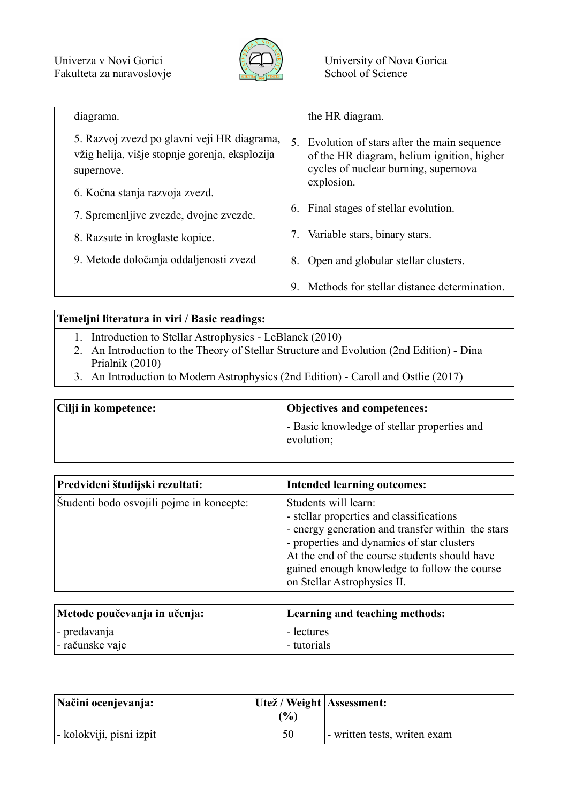

| diagrama.                                                                                                   | the HR diagram.                                                                                                                                      |
|-------------------------------------------------------------------------------------------------------------|------------------------------------------------------------------------------------------------------------------------------------------------------|
| 5. Razvoj zvezd po glavni veji HR diagrama,<br>vžig helija, višje stopnje gorenja, eksplozija<br>supernove. | Evolution of stars after the main sequence<br>5.<br>of the HR diagram, helium ignition, higher<br>cycles of nuclear burning, supernova<br>explosion. |
| 6. Kočna stanja razvoja zvezd.                                                                              |                                                                                                                                                      |
| 7. Spremenlijve zvezde, dvojne zvezde.                                                                      | Final stages of stellar evolution.<br>6.                                                                                                             |
| 8. Razsute in kroglaste kopice.                                                                             | Variable stars, binary stars.                                                                                                                        |
| 9. Metode določanja oddaljenosti zvezd                                                                      | Open and globular stellar clusters.<br>8.                                                                                                            |
|                                                                                                             | Methods for stellar distance determination.<br>9                                                                                                     |

## **Temeljni literatura in viri / Basic readings:**

- 1. Introduction to Stellar Astrophysics LeBlanck (2010)
- 2. An Introduction to the Theory of Stellar Structure and Evolution (2nd Edition) Dina Prialnik (2010)
- 3. An Introduction to Modern Astrophysics (2nd Edition) Caroll and Ostlie (2017)

| Cilji in kompetence: | <b>Objectives and competences:</b>                        |  |
|----------------------|-----------------------------------------------------------|--|
|                      | - Basic knowledge of stellar properties and<br>evolution; |  |

| Predvideni študijski rezultati:           | <b>Intended learning outcomes:</b>                                                                                                                                                                                                                                                                  |
|-------------------------------------------|-----------------------------------------------------------------------------------------------------------------------------------------------------------------------------------------------------------------------------------------------------------------------------------------------------|
| Studenti bodo osvojili pojme in koncepte: | Students will learn:<br>- stellar properties and classifications<br>- energy generation and transfer within the stars<br>- properties and dynamics of star clusters<br>At the end of the course students should have<br>gained enough knowledge to follow the course<br>on Stellar Astrophysics II. |

| Metode poučevanja in učenja: | Learning and teaching methods: |
|------------------------------|--------------------------------|
| $\vert$ - predavanja         | I-lectures                     |
| - računske vaje              | - tutorials                    |

| Načini ocenjevanja:      | Utež / Weight   Assessment:<br>$\frac{10}{6}$ |                              |
|--------------------------|-----------------------------------------------|------------------------------|
| - kolokviji, pisni izpit | 50                                            | - written tests, writen exam |